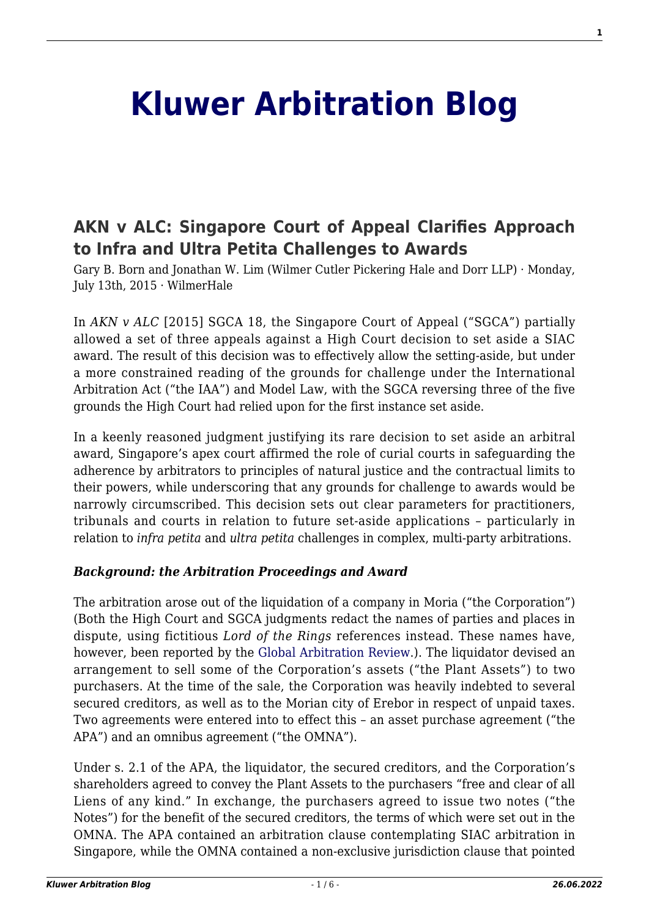# **[Kluwer Arbitration Blog](http://arbitrationblog.kluwerarbitration.com/)**

# **[AKN v ALC: Singapore Court of Appeal Clarifies Approach](http://arbitrationblog.kluwerarbitration.com/2015/07/13/akn-v-alc-singapore-court-of-appeal-clarifies-approach-to-infra-and-ultra-petita-challenges-to-awards/) [to Infra and Ultra Petita Challenges to Awards](http://arbitrationblog.kluwerarbitration.com/2015/07/13/akn-v-alc-singapore-court-of-appeal-clarifies-approach-to-infra-and-ultra-petita-challenges-to-awards/)**

Gary B. Born and Jonathan W. Lim (Wilmer Cutler Pickering Hale and Dorr LLP) · Monday, July 13th, 2015 · WilmerHale

In *AKN v ALC* [2015] SGCA 18, the Singapore Court of Appeal ("SGCA") partially allowed a set of three appeals against a High Court decision to set aside a SIAC award. The result of this decision was to effectively allow the setting-aside, but under a more constrained reading of the grounds for challenge under the International Arbitration Act ("the IAA") and Model Law, with the SGCA reversing three of the five grounds the High Court had relied upon for the first instance set aside.

In a keenly reasoned judgment justifying its rare decision to set aside an arbitral award, Singapore's apex court affirmed the role of curial courts in safeguarding the adherence by arbitrators to principles of natural justice and the contractual limits to their powers, while underscoring that any grounds for challenge to awards would be narrowly circumscribed. This decision sets out clear parameters for practitioners, tribunals and courts in relation to future set-aside applications – particularly in relation to *infra petita* and *ultra petita* challenges in complex, multi-party arbitrations.

#### *Background: the Arbitration Proceedings and Award*

The arbitration arose out of the liquidation of a company in Moria ("the Corporation") (Both the High Court and SGCA judgments redact the names of parties and places in dispute, using fictitious *Lord of the Rings* references instead. These names have, however, been reported by the [Global Arbitration Review](http://globalarbitrationreview.com/news/article/33707/menon-clarifies-courts-role-singapore/).). The liquidator devised an arrangement to sell some of the Corporation's assets ("the Plant Assets") to two purchasers. At the time of the sale, the Corporation was heavily indebted to several secured creditors, as well as to the Morian city of Erebor in respect of unpaid taxes. Two agreements were entered into to effect this – an asset purchase agreement ("the APA") and an omnibus agreement ("the OMNA").

Under s. 2.1 of the APA, the liquidator, the secured creditors, and the Corporation's shareholders agreed to convey the Plant Assets to the purchasers "free and clear of all Liens of any kind." In exchange, the purchasers agreed to issue two notes ("the Notes") for the benefit of the secured creditors, the terms of which were set out in the OMNA. The APA contained an arbitration clause contemplating SIAC arbitration in Singapore, while the OMNA contained a non-exclusive jurisdiction clause that pointed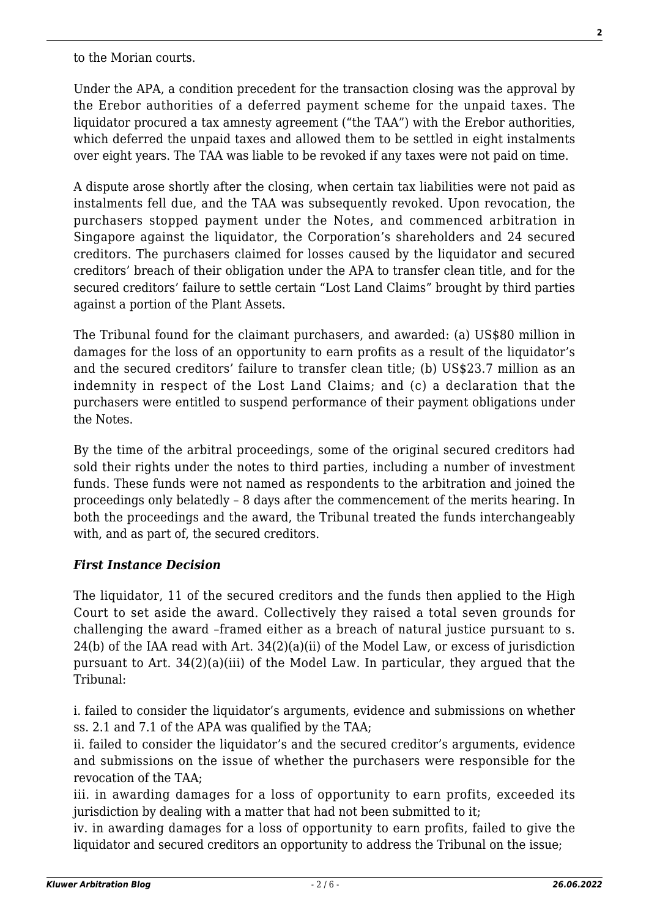to the Morian courts.

Under the APA, a condition precedent for the transaction closing was the approval by the Erebor authorities of a deferred payment scheme for the unpaid taxes. The liquidator procured a tax amnesty agreement ("the TAA") with the Erebor authorities, which deferred the unpaid taxes and allowed them to be settled in eight instalments over eight years. The TAA was liable to be revoked if any taxes were not paid on time.

A dispute arose shortly after the closing, when certain tax liabilities were not paid as instalments fell due, and the TAA was subsequently revoked. Upon revocation, the purchasers stopped payment under the Notes, and commenced arbitration in Singapore against the liquidator, the Corporation's shareholders and 24 secured creditors. The purchasers claimed for losses caused by the liquidator and secured creditors' breach of their obligation under the APA to transfer clean title, and for the secured creditors' failure to settle certain "Lost Land Claims" brought by third parties against a portion of the Plant Assets.

The Tribunal found for the claimant purchasers, and awarded: (a) US\$80 million in damages for the loss of an opportunity to earn profits as a result of the liquidator's and the secured creditors' failure to transfer clean title; (b) US\$23.7 million as an indemnity in respect of the Lost Land Claims; and (c) a declaration that the purchasers were entitled to suspend performance of their payment obligations under the Notes.

By the time of the arbitral proceedings, some of the original secured creditors had sold their rights under the notes to third parties, including a number of investment funds. These funds were not named as respondents to the arbitration and joined the proceedings only belatedly – 8 days after the commencement of the merits hearing. In both the proceedings and the award, the Tribunal treated the funds interchangeably with, and as part of, the secured creditors.

#### *First Instance Decision*

The liquidator, 11 of the secured creditors and the funds then applied to the High Court to set aside the award. Collectively they raised a total seven grounds for challenging the award –framed either as a breach of natural justice pursuant to s. 24(b) of the IAA read with Art. 34(2)(a)(ii) of the Model Law, or excess of jurisdiction pursuant to Art. 34(2)(a)(iii) of the Model Law. In particular, they argued that the Tribunal:

i. failed to consider the liquidator's arguments, evidence and submissions on whether ss. 2.1 and 7.1 of the APA was qualified by the TAA;

ii. failed to consider the liquidator's and the secured creditor's arguments, evidence and submissions on the issue of whether the purchasers were responsible for the revocation of the TAA;

iii. in awarding damages for a loss of opportunity to earn profits, exceeded its jurisdiction by dealing with a matter that had not been submitted to it;

iv. in awarding damages for a loss of opportunity to earn profits, failed to give the liquidator and secured creditors an opportunity to address the Tribunal on the issue;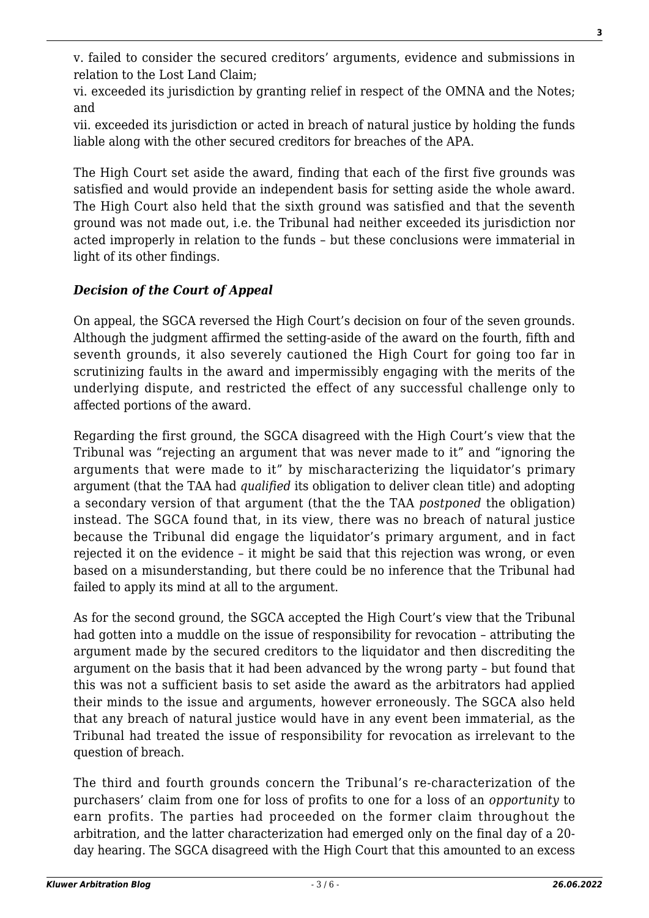v. failed to consider the secured creditors' arguments, evidence and submissions in relation to the Lost Land Claim;

vi. exceeded its jurisdiction by granting relief in respect of the OMNA and the Notes; and

vii. exceeded its jurisdiction or acted in breach of natural justice by holding the funds liable along with the other secured creditors for breaches of the APA.

The High Court set aside the award, finding that each of the first five grounds was satisfied and would provide an independent basis for setting aside the whole award. The High Court also held that the sixth ground was satisfied and that the seventh ground was not made out, i.e. the Tribunal had neither exceeded its jurisdiction nor acted improperly in relation to the funds – but these conclusions were immaterial in light of its other findings.

## *Decision of the Court of Appeal*

On appeal, the SGCA reversed the High Court's decision on four of the seven grounds. Although the judgment affirmed the setting-aside of the award on the fourth, fifth and seventh grounds, it also severely cautioned the High Court for going too far in scrutinizing faults in the award and impermissibly engaging with the merits of the underlying dispute, and restricted the effect of any successful challenge only to affected portions of the award.

Regarding the first ground, the SGCA disagreed with the High Court's view that the Tribunal was "rejecting an argument that was never made to it" and "ignoring the arguments that were made to it" by mischaracterizing the liquidator's primary argument (that the TAA had *qualified* its obligation to deliver clean title) and adopting a secondary version of that argument (that the the TAA *postponed* the obligation) instead. The SGCA found that, in its view, there was no breach of natural justice because the Tribunal did engage the liquidator's primary argument, and in fact rejected it on the evidence – it might be said that this rejection was wrong, or even based on a misunderstanding, but there could be no inference that the Tribunal had failed to apply its mind at all to the argument.

As for the second ground, the SGCA accepted the High Court's view that the Tribunal had gotten into a muddle on the issue of responsibility for revocation – attributing the argument made by the secured creditors to the liquidator and then discrediting the argument on the basis that it had been advanced by the wrong party – but found that this was not a sufficient basis to set aside the award as the arbitrators had applied their minds to the issue and arguments, however erroneously. The SGCA also held that any breach of natural justice would have in any event been immaterial, as the Tribunal had treated the issue of responsibility for revocation as irrelevant to the question of breach.

The third and fourth grounds concern the Tribunal's re-characterization of the purchasers' claim from one for loss of profits to one for a loss of an *opportunity* to earn profits. The parties had proceeded on the former claim throughout the arbitration, and the latter characterization had emerged only on the final day of a 20 day hearing. The SGCA disagreed with the High Court that this amounted to an excess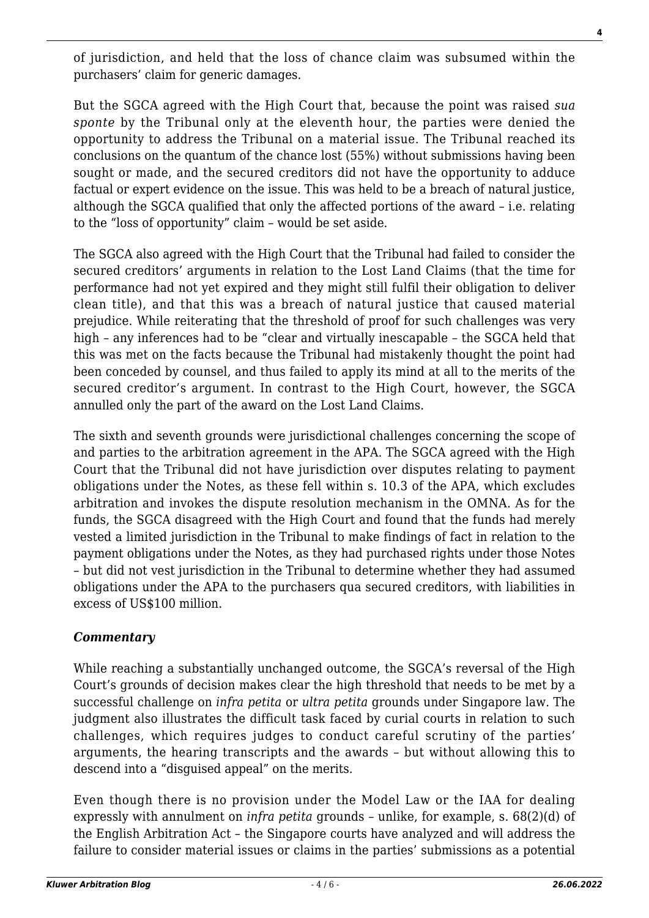of jurisdiction, and held that the loss of chance claim was subsumed within the purchasers' claim for generic damages.

But the SGCA agreed with the High Court that, because the point was raised *sua sponte* by the Tribunal only at the eleventh hour, the parties were denied the opportunity to address the Tribunal on a material issue. The Tribunal reached its conclusions on the quantum of the chance lost (55%) without submissions having been sought or made, and the secured creditors did not have the opportunity to adduce factual or expert evidence on the issue. This was held to be a breach of natural justice, although the SGCA qualified that only the affected portions of the award – i.e. relating to the "loss of opportunity" claim – would be set aside.

The SGCA also agreed with the High Court that the Tribunal had failed to consider the secured creditors' arguments in relation to the Lost Land Claims (that the time for performance had not yet expired and they might still fulfil their obligation to deliver clean title), and that this was a breach of natural justice that caused material prejudice. While reiterating that the threshold of proof for such challenges was very high – any inferences had to be "clear and virtually inescapable – the SGCA held that this was met on the facts because the Tribunal had mistakenly thought the point had been conceded by counsel, and thus failed to apply its mind at all to the merits of the secured creditor's argument. In contrast to the High Court, however, the SGCA annulled only the part of the award on the Lost Land Claims.

The sixth and seventh grounds were jurisdictional challenges concerning the scope of and parties to the arbitration agreement in the APA. The SGCA agreed with the High Court that the Tribunal did not have jurisdiction over disputes relating to payment obligations under the Notes, as these fell within s. 10.3 of the APA, which excludes arbitration and invokes the dispute resolution mechanism in the OMNA. As for the funds, the SGCA disagreed with the High Court and found that the funds had merely vested a limited jurisdiction in the Tribunal to make findings of fact in relation to the payment obligations under the Notes, as they had purchased rights under those Notes – but did not vest jurisdiction in the Tribunal to determine whether they had assumed obligations under the APA to the purchasers qua secured creditors, with liabilities in excess of US\$100 million.

### *Commentary*

While reaching a substantially unchanged outcome, the SGCA's reversal of the High Court's grounds of decision makes clear the high threshold that needs to be met by a successful challenge on *infra petita* or *ultra petita* grounds under Singapore law. The judgment also illustrates the difficult task faced by curial courts in relation to such challenges, which requires judges to conduct careful scrutiny of the parties' arguments, the hearing transcripts and the awards – but without allowing this to descend into a "disguised appeal" on the merits.

Even though there is no provision under the Model Law or the IAA for dealing expressly with annulment on *infra petita* grounds – unlike, for example, s. 68(2)(d) of the English Arbitration Act – the Singapore courts have analyzed and will address the failure to consider material issues or claims in the parties' submissions as a potential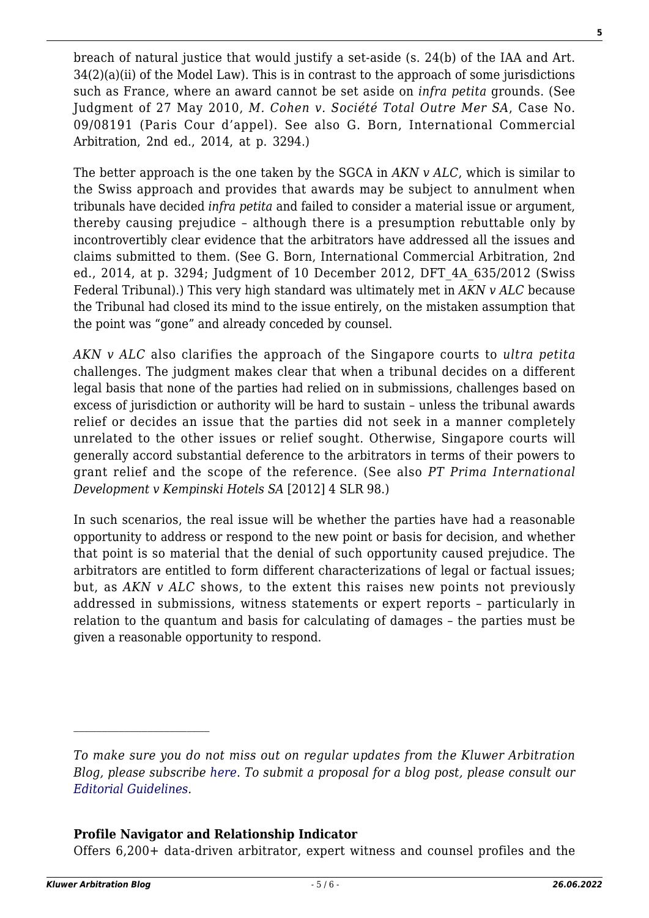breach of natural justice that would justify a set-aside (s. 24(b) of the IAA and Art.  $34(2)(a)(ii)$  of the Model Law). This is in contrast to the approach of some jurisdictions such as France, where an award cannot be set aside on *infra petita* grounds. (See Judgment of 27 May 2010, *M. Cohen v. Société Total Outre Mer SA*, Case No. 09/08191 (Paris Cour d'appel). See also G. Born, International Commercial Arbitration, 2nd ed., 2014, at p. 3294.)

The better approach is the one taken by the SGCA in *AKN v ALC*, which is similar to the Swiss approach and provides that awards may be subject to annulment when tribunals have decided *infra petita* and failed to consider a material issue or argument, thereby causing prejudice – although there is a presumption rebuttable only by incontrovertibly clear evidence that the arbitrators have addressed all the issues and claims submitted to them. (See G. Born, International Commercial Arbitration, 2nd ed., 2014, at p. 3294; Judgment of 10 December 2012, DFT\_4A\_635/2012 (Swiss Federal Tribunal).) This very high standard was ultimately met in *AKN v ALC* because the Tribunal had closed its mind to the issue entirely, on the mistaken assumption that the point was "gone" and already conceded by counsel.

*AKN v ALC* also clarifies the approach of the Singapore courts to *ultra petita* challenges. The judgment makes clear that when a tribunal decides on a different legal basis that none of the parties had relied on in submissions, challenges based on excess of jurisdiction or authority will be hard to sustain – unless the tribunal awards relief or decides an issue that the parties did not seek in a manner completely unrelated to the other issues or relief sought. Otherwise, Singapore courts will generally accord substantial deference to the arbitrators in terms of their powers to grant relief and the scope of the reference. (See also *PT Prima International Development v Kempinski Hotels SA* [2012] 4 SLR 98.)

In such scenarios, the real issue will be whether the parties have had a reasonable opportunity to address or respond to the new point or basis for decision, and whether that point is so material that the denial of such opportunity caused prejudice. The arbitrators are entitled to form different characterizations of legal or factual issues; but, as *AKN v ALC* shows, to the extent this raises new points not previously addressed in submissions, witness statements or expert reports – particularly in relation to the quantum and basis for calculating of damages – the parties must be given a reasonable opportunity to respond.

#### **Profile Navigator and Relationship Indicator**

Offers 6,200+ data-driven arbitrator, expert witness and counsel profiles and the

*To make sure you do not miss out on regular updates from the Kluwer Arbitration Blog, please subscribe [here](http://arbitrationblog.kluwerarbitration.com/newsletter/). To submit a proposal for a blog post, please consult our [Editorial Guidelines.](http://arbitrationblog.kluwerarbitration.com/editorial-guidelines/)*